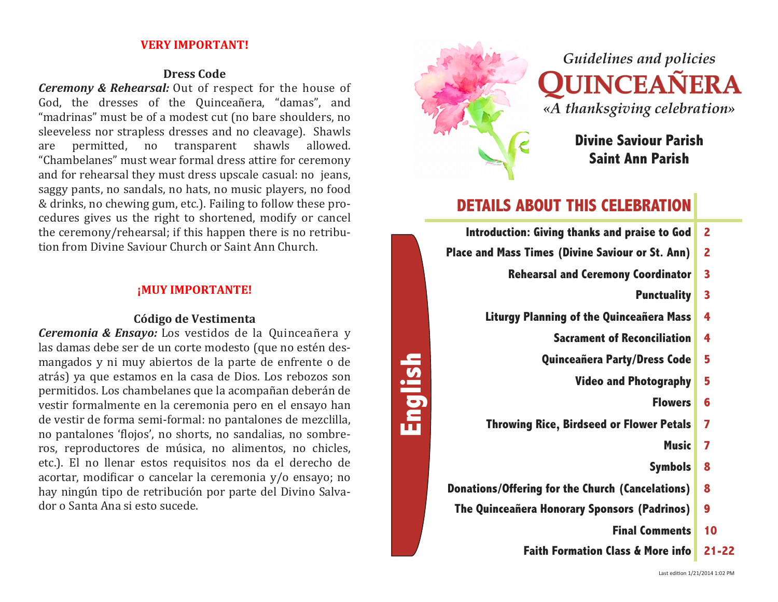#### **VERY IMPORTANT!**

#### **Dress Code**

*Ceremony* & *Rehearsal:* Out of respect for the house of God, the dresses of the Quinceañera, "damas", and "madrinas" must be of a modest cut (no bare shoulders, no sleeveless nor strapless dresses and no cleavage). Shawls are permitted, no transparent shawls allowed. "Chambelanes" must wear formal dress attire for ceremony and for rehearsal they must dress upscale casual: no jeans, saggy pants, no sandals, no hats, no music players, no food & drinks, no chewing gum, etc.). Failing to follow these procedures gives us the right to shortened, modify or cancel the ceremony/rehearsal; if this happen there is no retribution from Divine Saviour Church or Saint Ann Church.

#### **¡MUY IMPORTANTE!**

#### **Código de Vestimenta**

*Ceremonia & Ensayo:* Los vestidos de la Quinceañera y las damas debe ser de un corte modesto (que no estén desmangados y ni muy abiertos de la parte de enfrente o de atrás) ya que estamos en la casa de Dios. Los rebozos son permitidos. Los chambelanes que la acompañan deberán de vestir formalmente en la ceremonia pero en el ensayo han de vestir de forma semi-formal: no pantalones de mezclilla, no pantalones 'flojos', no shorts, no sandalias, no sombreros, reproductores de música, no alimentos, no chicles, etc.). El no llenar estos requisitos nos da el derecho de acortar, modificar o cancelar la ceremonia y/o ensayo; no hay ningún tipo de retribución por parte del Divino Salvador o Santa Ana si esto sucede.



# *Guidelines and policies*  UINCEAÑERA *«A thanksgiving celebration»*

**Divine Saviour Parish Saint Ann Parish** 

### **DETAILS ABOUT THIS CELEBRATION**

| $\overline{2}$          | Introduction: Giving thanks and praise to God           |         |
|-------------------------|---------------------------------------------------------|---------|
| $\overline{2}$          | <b>Place and Mass Times (Divine Saviour or St. Ann)</b> |         |
| 3                       | <b>Rehearsal and Ceremony Coordinator</b>               |         |
| 3                       | <b>Punctuality</b>                                      |         |
| 4                       | <b>Liturgy Planning of the Quinceañera Mass</b>         |         |
| 4                       | <b>Sacrament of Reconciliation</b>                      |         |
| 5                       | Quinceañera Party/Dress Code                            |         |
| 5                       | <b>Video and Photography</b>                            | English |
| 6                       | <b>Flowers</b>                                          |         |
| $\overline{\mathbf{z}}$ | <b>Throwing Rice, Birdseed or Flower Petals</b>         |         |
| 7                       | <b>Music</b>                                            |         |
| 8                       | <b>Symbols</b>                                          |         |
| 8                       | <b>Donations/Offering for the Church (Cancelations)</b> |         |
| 9                       | The Quinceañera Honorary Sponsors (Padrinos)            |         |
| 10                      | <b>Final Comments</b>                                   |         |
| 21-                     | <b>Faith Formation Class &amp; More info</b>            |         |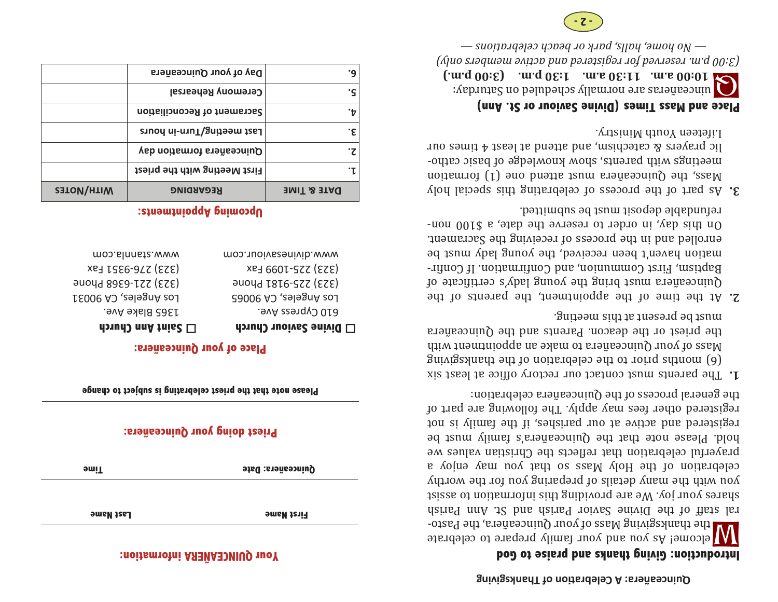#### **Your QUINCEAÑERA information:**

| <b>Priest doing your Quinceañera:</b> |                   |  |
|---------------------------------------|-------------------|--|
| <b>Pime</b>                           | Quinceañera: Date |  |
| Last Name                             | <b>First Name</b> |  |

**Please note that the priest celebrating is subject to change**

#### **Place of your Quinceañera:**

 **Divine Saviour Church**  610 Cypress Ave. Los Angeles, CA 90065 (323) 225-9181 Phone (323) 225-1099 Fax www.divinesaviour.com

#### **D** Saint Ann Church

1365 Blake Ave. Los Angeles, CA 90031 (323) 221-6368 Phone (323) 276-9351 Fax www.stannla.com

**Upcoming Appointments:** 

|                   | Day of your Quinceañera       | ٠q          |
|-------------------|-------------------------------|-------------|
|                   | <b>Ceremony Rehearsal</b>     |             |
|                   | Sacrament of Reconciliation   |             |
|                   | Last meeting/Turn-in hours    | ۰ε          |
|                   | Quinceañera formation day     |             |
|                   | First Meeting with the priest |             |
| <b>NITH/NOTES</b> | <b>REGARDING</b>              | DATE & TIME |

# **Introduction: Giving thanks and praise to God**

W elcome! As you and your Quinceanera, the Pasto-  $\mathsf{W}$  felcome! As you and your family prepare to celeprate ral staff of the Divine Savior Parish and St. But any the St. shares your joy. We are providing this information to assist  $\Lambda$ upu with the many details be preparing  $\Lambda$ upu worth $\Lambda$ s so the Holy Mass so that we have a celeptation of the Voler prayerful celebration that reflects the Christian values we blold. Please note that the Quinceañera's rimaly must be registered and active at our parishes, if the aliment is not registered other fees may apply. The following are part of the general process of the Quinceañera celebration:

**on of Thanksgiving Ɵ Quinceañera: A Celebra**

- T. The parents must contact our rectory office at least six  $\mathcal{B}$ uior thankspiring the celepration of the thankspiring  $M$ ass of your Quinceañera to make an appointment with the priest or the deacon. Parents and the Quinceanera must be present at this meeting.
- at the time of the appointment, the parents of the bera must bring the young lady's certificate of Baptism, First Communion, and Confirmation If Confirmation haven't been received, the young lady nust be enrolled and in the process of receiving the Sacrament. On this day, in order to reserve the date, a  $0.018$  nonrefundable deposit must be submitted.
- $\mathbf{S}$ . As part of the process of celebrating this special holy Mass, the Quinceañera must attend one  $(1)$  formation meetings with parents, and knowledge of basic catholic prayers & catechism, and attend at least  $4$  times our Lifeteen Youth Ministry.

#### **Place and Mass Times (Divine Saviour or St. Ann)**

Q a.m. **and the stature proper p.m. (3:00 p.m.) (4:1:10) dependence p.m. 1:30 dependence p.m. 10:00 dependence p.m. 10:00 dependence p.m. 10:00 dependence p.m. dependence p.m. dependen** *onlyied <i>actives and portal active membersion <i>andpositely and portal and <i>for signal and <i>and signal and and and and and and and and and and and and and and and and and — celebrations beach or park halls, home, No —*

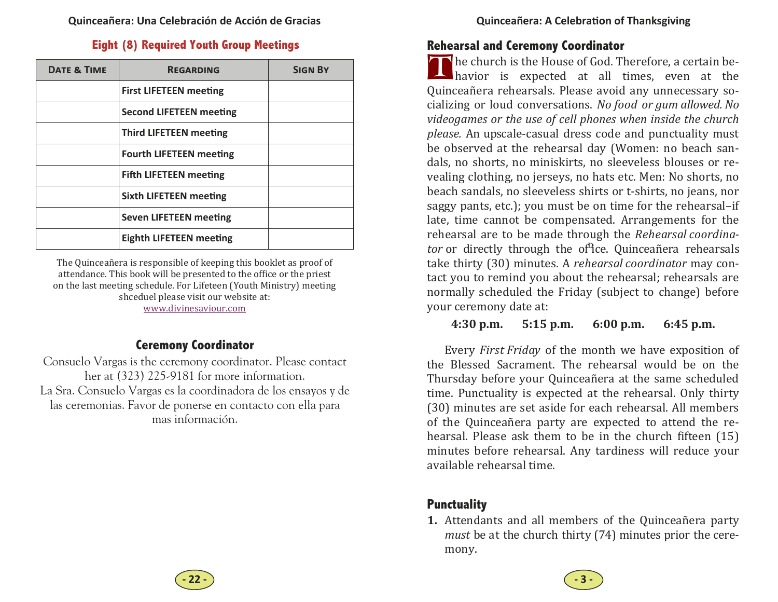#### **Eight (8) Required Youth Group Meetings**

| <b>DATE &amp; TIME</b> | <b>REGARDING</b>               | <b>SIGN BY</b> |
|------------------------|--------------------------------|----------------|
|                        | <b>First LIFETEEN meeting</b>  |                |
|                        | <b>Second LIFETEEN meeting</b> |                |
|                        | <b>Third LIFETEEN meeting</b>  |                |
|                        | <b>Fourth LIFETEEN meeting</b> |                |
|                        | <b>Fifth LIFETEEN meeting</b>  |                |
|                        | <b>Sixth LIFETEEN meeting</b>  |                |
|                        | <b>Seven LIFETEEN meeting</b>  |                |
|                        | <b>Eighth LIFETEEN meeting</b> |                |

The Quinceañera is responsible of keeping this booklet as proof of attendance. This book will be presented to the office or the priest on the last meeting schedule. For Lifeteen (Youth Ministry) meeting shceduel please visit our website at: www.divinesaviour.com

#### **Ceremony Coordinator**

Consuelo Vargas is the ceremony coordinator. Please contact her at (323) 225-9181 for more information. La Sra. Consuelo Vargas es la coordinadora de los ensayos y de las ceremonias. Favor de ponerse en contacto con ella para mas información.

#### **Rehearsal and Ceremony Coordinator**

The church is the House of God. Therefore, a certain be-<br>havior is expected at all times, even at the Quinceañera rehearsals. Please avoid any unnecessary socializing or loud conversations. *No food or gum allowed. No videogames or the use of cell phones when inside the church please.* An upscale-casual dress code and punctuality must be observed at the rehearsal day (Women: no beach sandals, no shorts, no miniskirts, no sleeveless blouses or revealing clothing, no jerseys, no hats etc. Men: No shorts, no beach sandals, no sleeveless shirts or t-shirts, no jeans, nor saggy pants, etc.); you must be on time for the rehearsal-if late, time cannot be compensated. Arrangements for the rehearsal are to be made through the *Rehearsal coordinator* or directly through the of<sup>p</sup>ice. Quinceañera rehearsals take thirty (30) minutes. A *rehearsal coordinator* may contact you to remind you about the rehearsal; rehearsals are normally scheduled the Friday (subject to change) before your ceremony date at:

#### **4:30p.m. 5:15 p.m. 6:00 p.m. 6:45 p.m.**

Every *First Friday* of the month we have exposition of the Blessed Sacrament. The rehearsal would be on the Thursday before your Ouinceañera at the same scheduled time. Punctuality is expected at the rehearsal. Only thirty (30) minutes are set aside for each rehearsal. All members of the Quinceañera party are expected to attend the rehearsal. Please ask them to be in the church fifteen (15) minutes before rehearsal. Any tardiness will reduce your available rehearsal time.

#### **Punctuality**

**1.** Attendants and all members of the Quinceañera party *must* be at the church thirty (74) minutes prior the ceremony.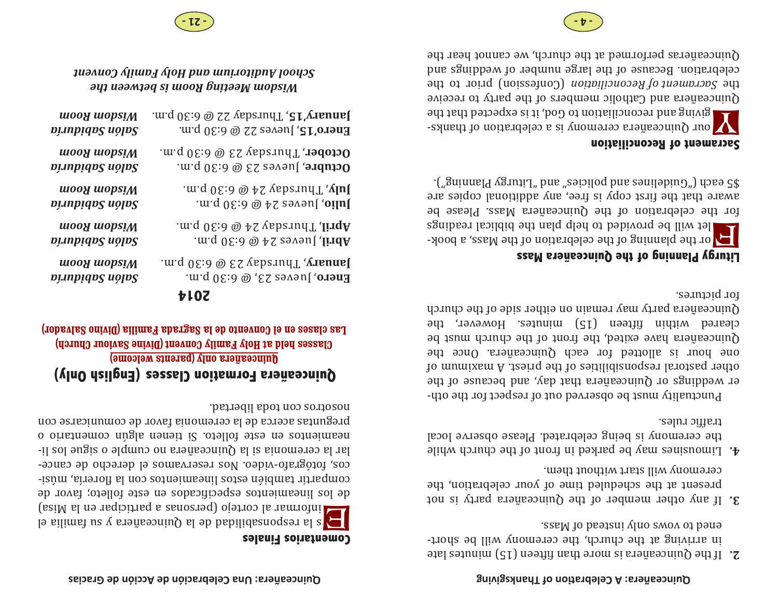- $3.$  If any other member of the Quinceañera party is not present at the scheduled time of your celebration, the ceremony will start without them.
- $\mathbf{f}$ . Limousines may be parked in thort be the church while the ceremony is being celeprated. Please observe local traffic rules.

Punctuality must be observed out of respect for the other weddings or Quinceañera that day, and because of the other pastoral responsibilities of the priest. A maximum of one hour is allotted for each Quinceañera. Once the Quinceañera have exited, the front of the church must be cleared within fifteen (15) ninutes. However, the Quincea $\tilde{u}$ era barty may remain on either side of the church for pictures. 

#### **Liturgy Planning of the Quinceañera Mass**

F or the planning of the celebration of the Mass, a book-  $\sim$ for the celebration of the Quinceañera Mass. Please be aware that the first copy is the and alditional copies are  $\cdot$ ("gninnald vgrutil" bna "esipiloq bna esniləbin $\partial$ ") dəsə  $\overline{c}$ 

#### **Sacrament of Reconciliation**

**W** eractions on the conciliation to God, it is expected that the semi-conciliation of the semi-conciliation of  $\sim$ Puinceanes and Catholic members of the party to receive fipe *Sacrament of Reconciliation* (Confession) prior to the celepration. Because of the large number of veddings and Ounceaneras performed at the church, we cannot hear the

**Comentarios Finales**  E is the finity of the solarchies of the signal cortejo (per solar parallies  $\epsilon$ de los lineamientos especificados en este folleto; favor de  $\cdot$ is $\dot{\beta}$ m (sineamientos con la florerio  $\alpha$ cos, fotógrafo-video. Nos reservamos el derecho de cancelar la ceremonia si la Quinceañera no cumple o sugue los lin camientos en este folleto. Si tienen algún comentario o preguntas acerca de la ceremonia favor de comunicarse con nosotros con toda libertad.

### **Quinceañera Formation Classes (English Only) Quinceañera only (parents welcome)**

**Classes held at Holy Family Convent (Divine Saviour Church)**  Las clases en el Convento de la Sagrada Familia (Divino Salvador)

#### **2014**

| <b>January'15, Thursday 22 @ 6:30 p.m.</b>               | wooy wopsiM     |
|----------------------------------------------------------|-----------------|
| <b>Enero'15,</b> Jueves 22 @ 6:30 p.m.                   | Salón Sabiduría |
| <b>October</b> , Thursday 23 @ 6:30 p.m.                 | wooy wopsiM     |
| <b>Octubre,</b> Jueves 23 @ 6:30 p.m.                    | Dinbidn2 noln2  |
| .m.q $0\epsilon$ :3 @ 4S yaberudT , <b>ylul</b>          | wooy wopsiM     |
| .m.q $0\,$ 6:3 $\circledcirc$ 4 $\circledcirc$ 6:30 p.m. | Dinbidn2 noln2  |
| .m.q 0E:d @ 4S ysberudT , <b>lirqA</b>                   | mooA mobsiW     |
| .m.q $0\,$ 6:3 $\circledcirc$ 4 $\circledcirc$ 6:30 p.m. | Salón Sabiduría |
| .m.q 0E:∂ @ ES ysberudT , <b>ynsuns[</b>                 | wooy wopsiM     |
| <b>Enero,</b> Jueves 23, @ 6:30 p.m.                     | Salón Sabiduría |
| .                                                        |                 |

*the between is Room Meeting Wisdom Convent Family Holy and Auditorium School*



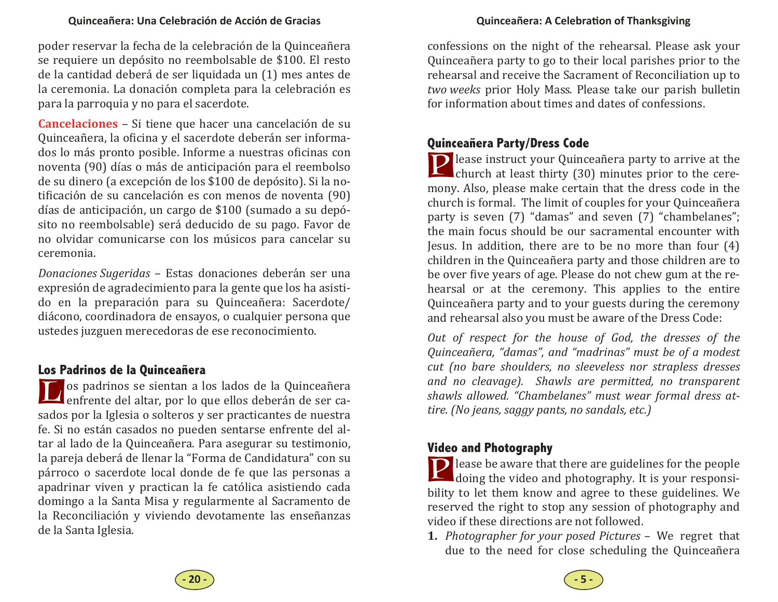poder reservar la fecha de la celebración de la Quinceañera se requiere un depósito no reembolsable de \$100. El resto de la cantidad deberá de ser liquidada un (1) mes antes de la ceremonia. La donación completa para la celebración es para la parroquia y no para el sacerdote.

**Cancelaciones** – Si tiene que hacer una cancelación de su Quinceañera, la oficina y el sacerdote deberán ser informados lo más pronto posible. Informe a nuestras oficinas con noventa (90) días o más de anticipación para el reembolso de su dinero (a excepción de los \$100 de depósito). Si la notificación de su cancelación es con menos de noventa (90) días de anticipación, un cargo de \$100 (sumado a su depósito no reembolsable) será deducido de su pago. Favor de no olvidar comunicarse con los músicos para cancelar su ceremonia. 

*Donaciones Sugeridas* – Estas donaciones deberán ser una expresión de agradecimiento para la gente que los ha asistido en la preparación para su Quinceañera: Sacerdote/ diácono, coordinadora de ensayos, o cualquier persona que ustedes juzguen merecedoras de ese reconocimiento.

#### **Los Padrinos de la Quinceañera**

L os padrinos se sientan a los lados de la Quinceañera<br>
enfrente del altar, por lo que ellos deberán de ser casados por la Iglesia o solteros y ser practicantes de nuestra fe. Si no están casados no pueden sentarse enfrente del altar al lado de la Quinceañera. Para asegurar su testimonio, la pareja deberá de llenar la "Forma de Candidatura" con su párroco o sacerdote local donde de fe que las personas a apadrinar viven y practican la fe católica asistiendo cada domingo a la Santa Misa y regularmente al Sacramento de la Reconciliación y viviendo devotamente las enseñanzas de la Santa Iglesia.

confessions on the night of the rehearsal. Please ask your Quinceañera party to go to their local parishes prior to the rehearsal and receive the Sacrament of Reconciliation up to *two weeks* prior Holy Mass. Please take our parish bulletin for information about times and dates of confessions.

#### **Quinceañera Party/Dress Code**

**P** lease instruct your Quinceañera party to arrive at the church at least thirty (30) minutes prior to the ceremony. Also, please make certain that the dress code in the church is formal. The limit of couples for your Quinceañera party is seven (7) "damas" and seven (7) "chambelanes"; the main focus should be our sacramental encounter with Jesus. In addition, there are to be no more than four  $(4)$ children in the Quinceañera party and those children are to be over five years of age. Please do not chew gum at the rehearsal or at the ceremony. This applies to the entire Quinceañera party and to your guests during the ceremony and rehearsal also you must be aware of the Dress Code:

*Out of respect for the house of God, the dresses of the Quinceañera, "damas", and "madrinas" must be of a modest cut (no bare shoulders, no sleeveless nor strapless dresses and no cleavage). Shawls are permitted, no transparent shawls allowed. "Chambelanes" must wear formal dress attire. (No jeans, saggy pants, no sandals, etc.)*

#### **Video and Photography**

**P** lease be aware that there are guidelines for the people doing the video and photography. It is your responsibility to let them know and agree to these guidelines. We reserved the right to stop any session of photography and video if these directions are not followed.

**1.** *Photographer for your posed Pictures –* We regre<sup>t</sup> that due to the need for close scheduling the Quinceañera

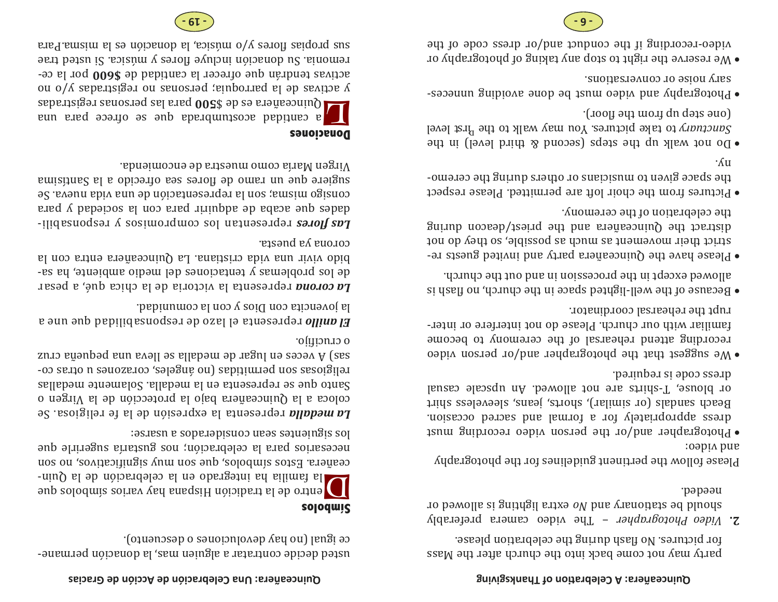party may not come back into the barred and the Mass for pictures. No fiash during the celepration please.

 – The video camera preferably *Photographer Video* **2.** ao pamolla *is* gnitugil attxa of bus various ad bluods needed.

Please follow the pertinent guidelines for the photography and video: 

- Photographer and/or the person video recording must dress appropriately for a formal and sacred occasion. Beach sandals (or similar), shorts, leans, and eveless shirt or blouse, T-shirts are not allowed. An upscale casual pəniupən zi əboə ssənb.
- $\bullet$  We suggest that the photographer and/or person video recording attend rehearsal of the ceremony to become familiar with our church. Please do not interfere or interrupt the rehearsal coordinator.
- $\bullet$  Because of the well-lighted space in the church, on flash is sllowed except in the procession in and out the church.
- Please have the Quinceañera party and invited guests restrict their movement as hour beights be very do not anistract the Quinceants and the priest/deacon during the celepration of the ceremony.
- $\bullet$  Pictures from the choir loft are permitted. Please respect the space given to musicians or others buing the ceremony.
- $\bullet$  Do not walk dn steps (second  $\alpha$  bring paral) in the *Sanctuary* to take pictures. You may walk to the <sup>*H*rst</sup> level (100] əy uolu dn dəis əno)
- Photography and video must be done and binding and  $\bullet$ sary noise or conversations.
- we reserve the right to stop any taking of photography or video-recording if the conduct and/or dress code of the

#### **Quinceañera: Una Celebración de Acción de Gracias**

 $\mathsf{\text{-}square}$  and the contratar a slamation was  $\mathsf{I}\mathsf{new}$  and  $\mathsf{new}$ re jengliculary of superconezo o sensional results.

#### **Símbolos**

 $\begin{bmatrix} \text{S} & \text{S} & \text{S} & \text{S} & \text{S} \end{bmatrix}$  on the la familiar integration and  $\begin{bmatrix} \text{S} & \text{S} & \text{S} & \text{S} \end{bmatrix}$   $\begin{bmatrix} \text{S} & \text{S} & \text{S} & \text{S} & \text{S} & \text{S} \end{bmatrix}$ τισε ου 'soλητειμμιθείς λημιτισες and 'soloquis sons επειθείες του και το πρόεδου του και το προστού anb apusanis bure is not celepracion; nos gustaris angentifie que los siguientes sean considerados a usarse: 

La medalla representa la expresión de la feligiosa. Se coloca a la Quinceañera bajo la protección de la Virgen o sallaber of ne sepresents on la medallas candidates medallas ngeles are pringious corrections on the corazones cozn.io eyenhəd eun e $\alpha$ əll əs allebəm əp iegul uə səbə $\alpha$   $\gamma$  (ses o crucifiio.

 representa el lazo de responsabilidad que une a *anillo El* la jovencita con Dios y con la comunidad.

 representa la victoria de la chica qué, a pesar *corona La* de los problemas y tentaciones del medio ambiente, ha sabido vivir una vida cristiana. La Quinceañera entra con la corous *ya* puesta.

represental *lossuodsai & sosimorganos sol neinasaidai saloff so* are do acapa que raindy para con para  $\Lambda$  para es revents ou la rebresentación en una representación españo sugiere que un ramo de flores sea ofrecido a la Santisima  $\alpha$ como muestra de encomienda.

#### **Donaciones**

L G a cautidad acostumbrada a para las personas registradas due to the sense of the sense of  $\sqrt{2}$ ou o/ $\Lambda$  sepensises ou seuostad semborate la parroquia; activas tendrán que ofrecer la cantidad de \$600 por la cesexted being include the source of  $\alpha$  is not included the sexted that  $\alpha$ exalged missue of  $\Lambda$  or  $\alpha$  is the propias being suspected in the suspected of  $\Lambda$  suspected in the suspected in the suspected in the suspected in the suspected in the suspected in the suspected in the suspected in th



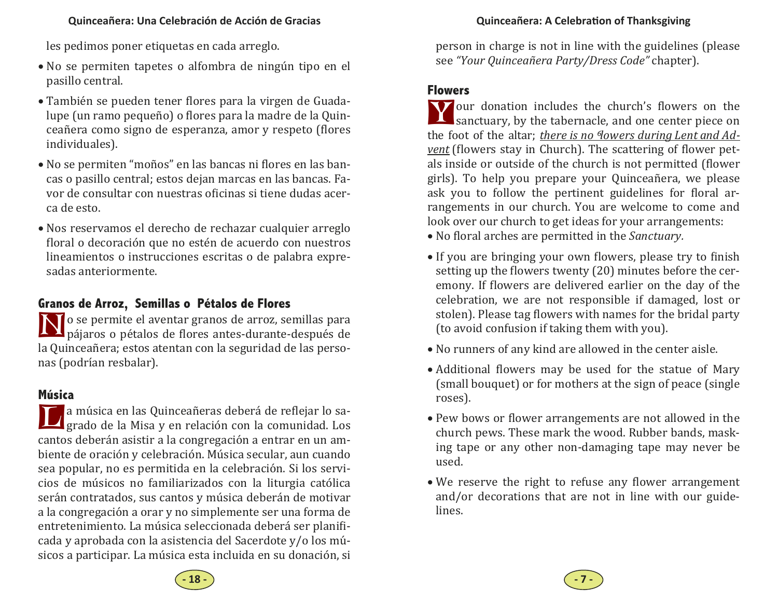les pedimos poner etiquetas en cada arreglo.

- No se permiten tapetes o alfombra de ningún tipo en el pasillo central.
- También se pueden tener flores para la virgen de Guadalupe (un ramo pequeño) o flores para la madre de la Quinceañera como signo de esperanza, amor y respeto (flores individuales).
- No se permiten "moños" en las bancas ni flores en las bancas o pasillo central; estos dejan marcas en las bancas. Favor de consultar con nuestras oficinas si tiene dudas acerca de esto.
- Nos reservamos el derecho de rechazar cualquier arreglo floral o decoración que no estén de acuerdo con nuestros lineamientos o instrucciones escritas o de palabra expresadas anteriormente.

### **Granos de Arroz, Semillas o Pétalos de Flores**

N o se permite el aventar granos de arroz, semillas para<br>
pájaros o pétalos de flores antes-durante-después de la Quinceañera; estos atentan con la seguridad de las personas (podrían resbalar).

#### **Música**

La música en las Quinceañeras deberá de reflejar lo sa-<br>I grado de la Misa y en relación con la comunidad. Los cantos deberán asistir a la congregación a entrar en un ambiente de oración y celebración. Música secular, aun cuando sea popular, no es permitida en la celebración. Si los servicios de músicos no familiarizados con la liturgia católica serán contratados, sus cantos y música deberán de motivar a la congregación a orar y no simplemente ser una forma de entretenimiento. La música seleccionada deberá ser planificada y aprobada con la asistencia del Sacerdote y/o los músicos a participar. La música esta incluida en su donación, si person in charge is not in line with the guidelines (please see *"Your Quinceañera Party/Dress Code"* chapter).

#### **Flowers**

Y our donation includes the church's flowers on the sanctuary, by the tabernacle, and one center piece on the foot of the altar; *there is no Mowers during Lent* and *Advent* (flowers stay in Church). The scattering of flower petals inside or outside of the church is not permitted (flower girls). To help you prepare your Ouinceañera, we please ask you to follow the pertinent guidelines for floral arrangements in our church. You are welcome to come and look over our church to get ideas for your arrangements:

- No floral arches are permitted in the *Sanctuary*.
- If you are bringing your own flowers, please try to finish setting up the flowers twenty  $(20)$  minutes before the ceremony. If flowers are delivered earlier on the day of the celebration, we are not responsible if damaged, lost or stolen). Please tag flowers with names for the bridal party (to avoid confusion if taking them with you).
- No runners of any kind are allowed in the center aisle.
- Additional flowers may be used for the statue of Mary (small bouquet) or for mothers at the sign of peace (single roses).
- Pew bows or flower arrangements are not allowed in the church pews. These mark the wood. Rubber bands, masking tape or any other non-damaging tape may never be used.
- We reserve the right to refuse any flower arrangement and/or decorations that are not in line with our guidelines.

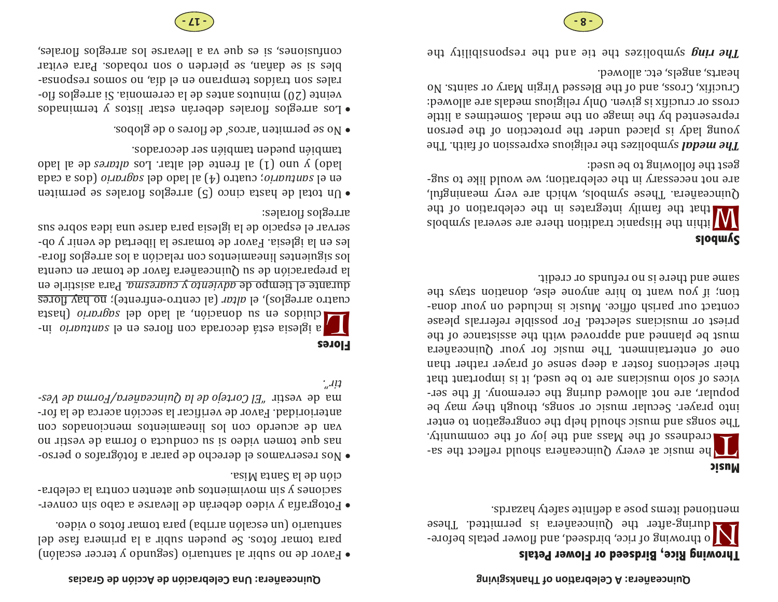### **Throwing Rice, Birdseed or Flower Petals**

 $\sum_{\rm{1\,odd\,\,} }$  o throwing and the  $\alpha$  is permitted. These esprezey violes a inchedra bosod small bandinam

#### **Music**

T examples of the Mass and the yoy of the community.<br>The mass of the Mass and the joy of the community. The songs and music siendal phelp the congregation to enter into prayer. Secular music or sangs, lepton than be popular, are not allowed during the ceremony. If the services of solo musicians are to be used, it is important that their selections foster a deep sense of prayer rather than one of entertainment. The music for your Quinceanera aust be blauned and aboudde but paraisisment of the bujest or musicians sejected. For possible referrals please courscr ont batize  $\mu$  or  $\mu$  is now that is not denote. tion; if you want to hire anyone else, donation average the same and there is no refunds or credit.

#### **Symbols**

W ithin the Hispanic tradition the celebration of the several symbols that in the Hispanic that  $\mathbb{N}$  $\chi$ linga. These symbols, which are very meaningful, are not necessary in the celepration; we would like to suggeat the following to be used:

symbolizes the religious expression of faith. The *medal The* young lady is placed under the protection of the person rebresented by the image on the medal. Sometimes a little cross or crucifix is given. Only religious medals are allowed: Crucifix, Cross, and of the Blesseld baryor and actional No hearts, angels, etc. allowed.

 symbolizes the tie and the responsibility the *ring The*

#### **Quinceañera: Una Celebración de Acción de Gracias**

- $\bullet$  Eavor de no subir al santuario (segundo y tercer escalón)  $p$  as a sequence of  $p$  is a subsetepted by  $p$  and  $p$  and  $p$  and  $p$  and  $p$  and  $p$  and  $p$  and  $p$  and  $p$  and  $p$  and  $p$  and  $p$  and  $p$  and  $p$  and  $p$  and  $p$  and  $p$  and  $p$  and  $p$  and  $p$  and  $p$  and  $p$  and nobiv o zotof namot arriba) para tomar fotos o video.
- $\bullet$  hotografia y video deberán de llevarse a cabo suis conversaciones *y* sin mightariant enproving an endeptor- $\alpha$ iesi $M$  santa Misa.
- $\bullet$  Mos reservamos el derecho de parar a fotógrafos o persoou ritesy ap smulled o standard us is oapive named and sea van de acuerdo con los lineamientos con conseguences and acuertos anterioridad. Pavor de verificar la sección acerca de la for*vesal ab purno<sup>a</sup>/praña <i>baniuy pl ap olatro Ia airsay ab sm tir".*

#### **Flores**

**L interporatable in-** on- *santy custaious our ountuario* in-<br> **a** iglesia esta decorada con flores en el *sagrario* (hasta cuatro arreglos), el *altar* (al centro-enfrente); <u>no hay flores</u> ara *altitive and industriance of cuaresma*. But it is a *buttle* on la preparación de su Quinceañera favor de tomar en cuenta los siguientes lineamientos con relación a los arreglos florales en la iglesia. Favor de tomarse la libertad de venir y obsus endos sebi ann extab and aiselgi al ab oibaqes la revres arreglos florales:

- $\bullet$  Un total de hasta cinco (5) arreglos hands as permiten en el *santuario*; cuatro (4) al lado del sentoro (ora e cada lado) y uno (1) al frente del altar. Los *altares* de al lado rappien bneqen tambien aret decorados.
- **.** No se permiten 'arcos' de flores o de globos.

 $\bullet$  Los arreglos florales deberán estar listos y terminados veinte  $(20)$  minutos antes de la ceremomia. Is arreglos flo--esuodsəı somos ou 'ejp ¡ə uə oueıdməı sopjeıı uos sə[eı bles si se daŭan, es pierden o son robados. Para evitar contusiones, si es que va a llevarse los arreglos florales,



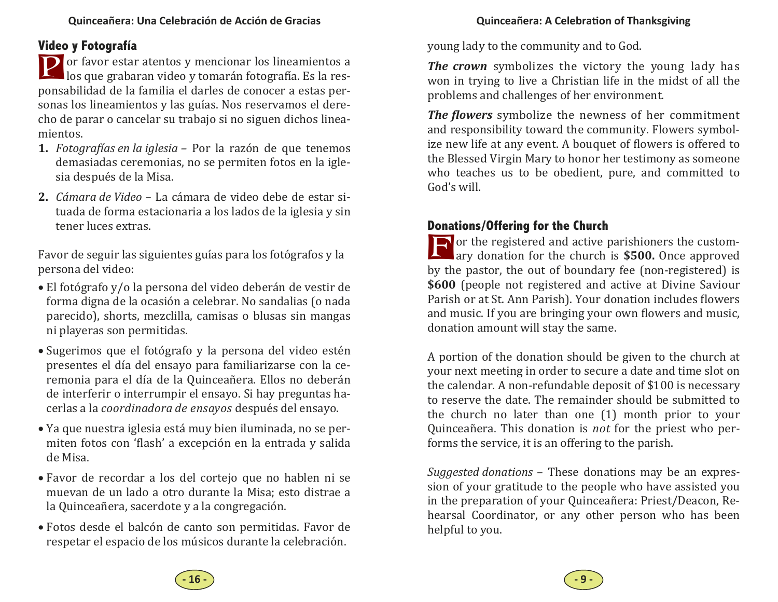#### **Quinceañera: A Celebra Ɵon of Thanksgiving**

#### **Video y Fotografía**

**P** or favor estar atentos y mencionar los lineamientos a los que grabaran video y tomarán fotografía. Es la responsabilidad de la familia el darles de conocer a estas personas los lineamientos y las guías. Nos reservamos el derecho de parar o cancelar su trabajo si no siguen dichos lineamientos. 

- **1.** *Fotograϔías en la iglesia –* Por la razón de que tenemos demasiadas ceremonias, no se permiten fotos en la iglesia después de la Misa.
- **2.** *Cámara de Video* – La cámara de video debe de estar situada de forma estacionaria a los lados de la iglesia y sin tener luces extras.

Favor de seguir las siguientes guías para los fotógrafos y la persona del video:

- El fotógrafo y/o la persona del video deberán de vestir de forma digna de la ocasión a celebrar. No sandalias (o nada parecido), shorts, mezclilla, camisas o blusas sin mangas ni playeras son permitidas.
- Sugerimos que el fotógrafo y la persona del video estén presentes el día del ensayo para familiarizarse con la ceremonia para el día de la Quinceañera. Ellos no deberán de interferir o interrumpir el ensayo. Si hay preguntas hacerlas a la *coordinadora de ensayos* después del ensayo.
- Ya que nuestra iglesia está muy bien iluminada, no se permiten fotos con 'flash' a excepción en la entrada y salida de Misa.
- Favor de recordar a los del cortejo que no hablen ni se muevan de un lado a otro durante la Misa; esto distrae a la Quinceañera, sacerdote y a la congregación.
- Fotos desde el balcón de canto son permitidas. Favor de respetar el espacio de los músicos durante la celebración.

young lady to the community and to God.

**The crown** symbolizes the victory the young lady has won in trying to live a Christian life in the midst of all the problems and challenges of her environment.

*The flowers* symbolize the newness of her commitment and responsibility toward the community. Flowers symbolize new life at any event. A bouquet of flowers is offered to the Blessed Virgin Mary to honor her testimony as someone who teaches us to be obedient, pure, and committed to God's will.

#### **Donations/Offering for the Church**

For the registered and active parishioners the custom-<br>ary donation for the church is **\$500.** Once approved by the pastor, the out of boundary fee (non-registered) is **\$600** (people not registered and active at Divine Saviour Parish or at St. Ann Parish). Your donation includes flowers and music. If you are bringing your own flowers and music, donation amount will stay the same.

A portion of the donation should be given to the church at your next meeting in order to secure a date and time slot on the calendar. A non-refundable deposit of \$100 is necessary to reserve the date. The remainder should be submitted to the church no later than one  $(1)$  month prior to your Quinceañera. This donation is *not* for the priest who performs the service, it is an offering to the parish.

*Suggested donations* – These donations may be an expression of your gratitude to the people who have assisted you in the preparation of your Quinceañera: Priest/Deacon, Rehearsal Coordinator, or any other person who has been helpful to you.

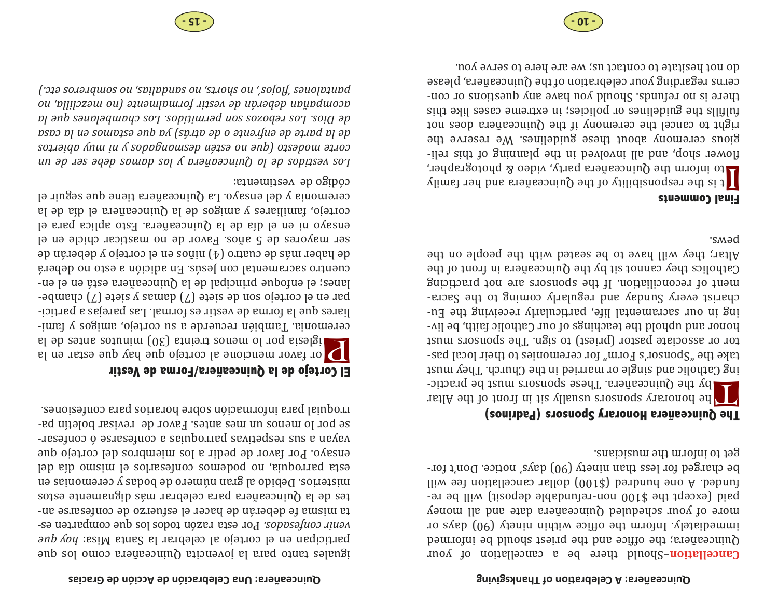#### **on of Thanksgiving Ɵ Quinceañera: A Celebra**

–Should there be a cancellation of your **Cancellation** be integrationally be onlined and the priest results be integrated immediately. Inform the office within ninety  $(90)$  days or  $\alpha$  and  $\alpha$  and  $\alpha$  are and  $\alpha$  in  $\alpha$  beyone  $\alpha$  and  $\alpha$  and  $\alpha$  and  $\alpha$ paid (except the \$100 non-refundable otheory) will be relliw set noitells and  $(0012)$  be hunded. The model of  $\mu$ be charged for less than ninety  $(90)$  days' notice. Don't forget to inform the musicians.

#### **The Quinceañera Honorary Sponsors (Padrinos)**

The honorary sponsors usually sit in front to the Altar sponsors responsors  $\mathcal{L}[\mathcal{A}]$ ing Catholic and single or married in the Church. And young take the "Sponsor's Form" for ceremonies to their local pastor or associate pastor (priest) to shigh into the consols must honor and uphold the teachings of our Catholic faith, be living in our sacramental life, particularly receiving the Eucharist every Sunday and regularly coming to the Sacrament of reconciliation. If the sponsors are not practicing Catholics they cannot sit by the Quinceañera in tront of the Altar; they will have to be seated with the people on the pews. 

#### **Final Comments**

I ta the responsibility of the Quinceañera and her family diments of the responsibility of  $\alpha$ flower shop, and all involved in the planning of this religious ceremony about these guidelines. We reserve the right to cancel the ceremony if the Quinceañera robe not fulfills the guidelines or policies; in extreme cases like this there is no refunds. Should you have any questions or concerns regarding your celebration of the Quinceañera, please and not hesitate to contact us; we are here to serve you.

#### **Quinceañera: Una Celebración de Acción de Gracias**

era como para la bovencita Quinceañera como los due *anb doy* en el cortejo al celeprar la Santa Misa: *hay que Porcestabos. Por esta razón todos los que comparten es*ta misma fe deberán de hacer el estuerzo ab order an $s$ otel be la Quinceañera para celebrar más dignamente estos misterios. Debido al gran número de bodas y ceremomias en  $\alpha$ leb aib omsim le solnseenco comepod ou einborned steel ensayo. Por favor de pedir a los miembros del cortejo que  $\cdot$  -xesə $\mu$ oo  $\varphi$  əsussə $\mu$ oo e se $\mu$ bouxed se $\Lambda$ padsəx sns e ue $\Lambda$ e $\Lambda$ ed unalod resivər əb rovaF. .estne səm un souəm ol rod əsrootial bara inconstruction of the context confesiones. **Showing** 

### **El Cortejo de la Quinceañera/Forma de Vestir**

 $\sum_{\text{left}}$  or favor mencione al cortejo que hay que estar en la ceremonia. Tamidiary necuerde a su cortejo, anglicial y familiares que la forma de vestir es formal. Las parejas a participar en el cortejo son de siete  $(7)$  damas y siete  $(7)$  chambelanes; el enfoque principal de la Quinceañera está en el encuentro sacramental con Jesús. En adición a esto no deberá de haber más de cuatro (4) niños en el cortejo y deberán de ser mayores de 5 añas. Pover de no masticar chicle en el ensayo ni en el dia de la Quinceañera. Esto aplica para el cortejo, familiares y angles de la Quinceañera el dia de la ceremonia y del ensayo. La Quinceañera tiene que seguir el

#### código de vestimenta:

*un de ser debe damas las y Quinceañera la de vestidos Los abiertos muy ni y desmangados estén no (que modesto corte casa la en estamos que ya atrás) de o enfrente de parte la de la que chambelanes Los permitidos. son rebozos Los Dios. de no mezclilla, (no formalmente vestir de deberán acompañan etc.) sombreros no sandalias, no shorts, no lojos', ϔ' pantalones*



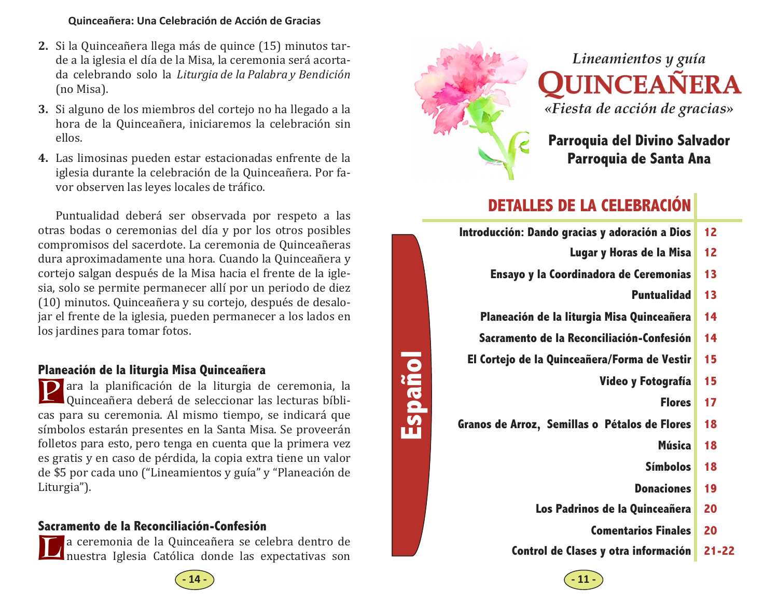#### **Quinceañera: Una Celebración de Acción de Gracias**

- **2.** Si la Quinceañera llega más de quince (15) minutos tarde a la iglesia el día de la Misa, la ceremonia será acortada celebrando solo la *Liturgia de la Palabra y Bendició<sup>n</sup>* (no Misa).
- **3.** Si alguno de los miembros del cortejo no ha llegado a la hora de la Quinceañera, iniciaremos la celebración sin ellos.
- **4.** Las limosinas pueden estar estacionadas enfrente de la iglesia durante la celebración de la Quinceañera. Por favor observen las leyes locales de tráfico.

Puntualidad deberá ser observada por respeto a las otras bodas o ceremonias del día y por los otros posibles compromisos del sacerdote. La ceremonia de Quinceañeras dura aproximadamente una hora. Cuando la Quinceañera y cortejo salgan después de la Misa hacia el frente de la iglesia, solo se permite permanecer allí por un periodo de diez (10) minutos. Quinceañera y su cortejo, después de desalojar el frente de la iglesia, pueden permanecer a los lados en los jardines para tomar fotos.

#### **Planeación de la liturgia Misa Quinceañera**

**P** ara la planificación de la liturgia de ceremonia, la Quinceañera deberá de seleccionar las lecturas bíblicas para su ceremonia. Al mismo tiempo, se indicará que símbolos estarán presentes en la Santa Misa. Se proveerán folletos para esto, pero tenga en cuenta que la primera vez es gratis y en caso de pérdida, la copia extra tiene un valor de \$5 por cada uno ("Lineamientos y guía" y "Planeación de Liturgia").

#### **Sacramento de la Reconciliación-Confesión**

La ceremonia de la Quinceañera se celebra dentro de<br>Inuestra Iglesia Católica donde las expectativas son



**Español** 

# *Lineamientos y guía*  **QUINCEAÑERA**

*«Fiesta de acción de gracias»* 

**Parroquia del Divino Salvador Parroquia de Santa Ana** 

## **DETALLES DE LA CELEBRACIÓN**

| Introducción: Dando gracias y adoración a Dios | 12 |
|------------------------------------------------|----|
| Lugar y Horas de la Misa                       | 12 |
| Ensayo y la Coordinadora de Ceremonias         | 13 |
| <b>Puntualidad</b>                             | 13 |
| Planeación de la liturgia Misa Quinceañera     | 14 |
| Sacramento de la Reconciliación-Confesión      | 14 |
| El Cortejo de la Quinceañera/Forma de Vestir   | 15 |
| Video y Fotografía                             | 15 |
| <b>Flores</b>                                  | 17 |
| Granos de Arroz, Semillas o Pétalos de Flores  | 18 |
| Música                                         | 18 |
| <b>Símbolos</b>                                | 18 |
| <b>Donaciones</b>                              | 19 |
| Los Padrinos de la Quinceañera                 | 20 |
| <b>Comentarios Finales</b>                     | 20 |

**Control de Clases y otra información 21-22**